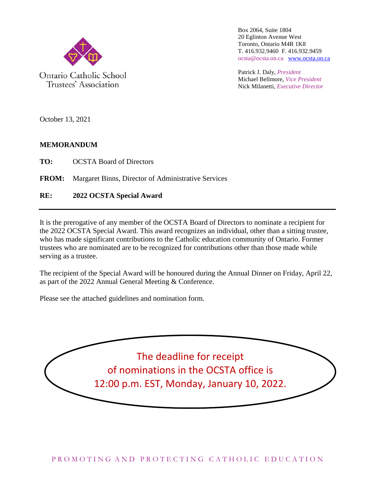

Trustees' Association

Box 2064, Suite 1804 20 Eglinton Avenue West Toronto, Ontario M4R 1K8 T. 416.932.9460 F. 416.932.9459 ocsta@ocsta.on.ca [www.ocsta.on.ca](http://www.ocsta.on.ca/)

Patrick J. Daly, *President* Michael Bellmore, *Vice President* Nick Milanetti, *Executive Director*

October 13, 2021

#### **MEMORANDUM**

**TO:** OCSTA Board of Directors

**FROM:** Margaret Binns, Director of Administrative Services

**RE: 2022 OCSTA Special Award**

It is the prerogative of any member of the OCSTA Board of Directors to nominate a recipient for the 2022 OCSTA Special Award. This award recognizes an individual, other than a sitting trustee, who has made significant contributions to the Catholic education community of Ontario. Former trustees who are nominated are to be recognized for contributions other than those made while serving as a trustee.

The recipient of the Special Award will be honoured during the Annual Dinner on Friday, April 22, as part of the 2022 Annual General Meeting & Conference.

Please see the attached guidelines and nomination form.

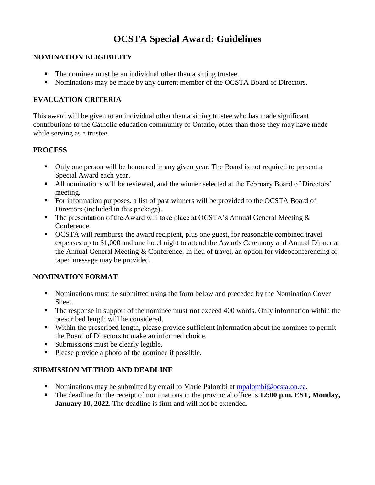### **OCSTA Special Award: Guidelines**

#### **NOMINATION ELIGIBILITY**

- The nominee must be an individual other than a sitting trustee.
- Nominations may be made by any current member of the OCSTA Board of Directors.

#### **EVALUATION CRITERIA**

This award will be given to an individual other than a sitting trustee who has made significant contributions to the Catholic education community of Ontario, other than those they may have made while serving as a trustee.

#### **PROCESS**

- Only one person will be honoured in any given year. The Board is not required to present a Special Award each year.
- All nominations will be reviewed, and the winner selected at the February Board of Directors' meeting.
- For information purposes, a list of past winners will be provided to the OCSTA Board of Directors (included in this package).
- The presentation of the Award will take place at OCSTA's Annual General Meeting  $\&$ Conference.
- OCSTA will reimburse the award recipient, plus one guest, for reasonable combined travel expenses up to \$1,000 and one hotel night to attend the Awards Ceremony and Annual Dinner at the Annual General Meeting & Conference. In lieu of travel, an option for videoconferencing or taped message may be provided.

#### **NOMINATION FORMAT**

- Nominations must be submitted using the form below and preceded by the Nomination Cover Sheet.
- The response in support of the nominee must **not** exceed 400 words. Only information within the prescribed length will be considered.
- Within the prescribed length, please provide sufficient information about the nominee to permit the Board of Directors to make an informed choice.
- Submissions must be clearly legible.
- Please provide a photo of the nominee if possible.

#### **SUBMISSION METHOD AND DEADLINE**

- Nominations may be submitted by email to Marie Palombi at [mpalombi@ocsta.on.ca.](mailto:mpalombi@ocsta.on.ca)
- The deadline for the receipt of nominations in the provincial office is **12:00 p.m. EST, Monday, January 10, 2022**. The deadline is firm and will not be extended.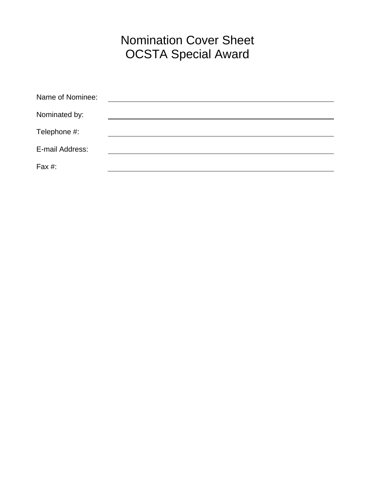# Nomination Cover Sheet OCSTA Special Award

| Name of Nominee: |  |
|------------------|--|
| Nominated by:    |  |
| Telephone #:     |  |
| E-mail Address:  |  |
| Fax #:           |  |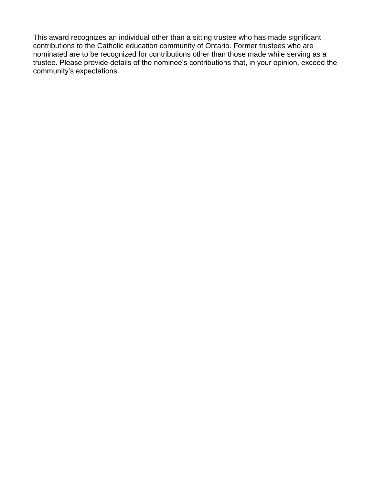This award recognizes an individual other than a sitting trustee who has made significant contributions to the Catholic education community of Ontario. Former trustees who are nominated are to be recognized for contributions other than those made while serving as a trustee. Please provide details of the nominee's contributions that, in your opinion, exceed the community's expectations.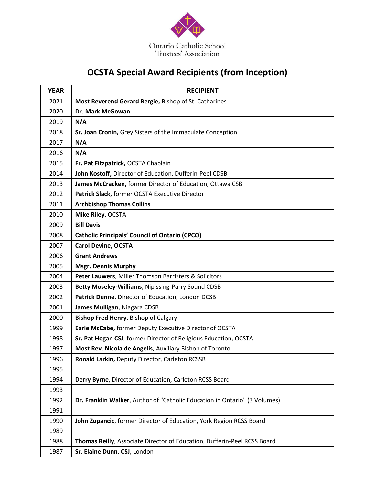

## **OCSTA Special Award Recipients (from Inception)**

| <b>YEAR</b> | <b>RECIPIENT</b>                                                           |
|-------------|----------------------------------------------------------------------------|
| 2021        | Most Reverend Gerard Bergie, Bishop of St. Catharines                      |
| 2020        | Dr. Mark McGowan                                                           |
| 2019        | N/A                                                                        |
| 2018        | Sr. Joan Cronin, Grey Sisters of the Immaculate Conception                 |
| 2017        | N/A                                                                        |
| 2016        | N/A                                                                        |
| 2015        | Fr. Pat Fitzpatrick, OCSTA Chaplain                                        |
| 2014        | John Kostoff, Director of Education, Dufferin-Peel CDSB                    |
| 2013        | James McCracken, former Director of Education, Ottawa CSB                  |
| 2012        | Patrick Slack, former OCSTA Executive Director                             |
| 2011        | <b>Archbishop Thomas Collins</b>                                           |
| 2010        | Mike Riley, OCSTA                                                          |
| 2009        | <b>Bill Davis</b>                                                          |
| 2008        | <b>Catholic Principals' Council of Ontario (CPCO)</b>                      |
| 2007        | <b>Carol Devine, OCSTA</b>                                                 |
| 2006        | <b>Grant Andrews</b>                                                       |
| 2005        | <b>Msgr. Dennis Murphy</b>                                                 |
| 2004        | Peter Lauwers, Miller Thomson Barristers & Solicitors                      |
| 2003        | Betty Moseley-Williams, Nipissing-Parry Sound CDSB                         |
| 2002        | Patrick Dunne, Director of Education, London DCSB                          |
| 2001        | James Mulligan, Niagara CDSB                                               |
| 2000        | <b>Bishop Fred Henry, Bishop of Calgary</b>                                |
| 1999        | Earle McCabe, former Deputy Executive Director of OCSTA                    |
| 1998        | Sr. Pat Hogan CSJ, former Director of Religious Education, OCSTA           |
| 1997        | Most Rev. Nicola de Angelis, Auxiliary Bishop of Toronto                   |
| 1996        | Ronald Larkin, Deputy Director, Carleton RCSSB                             |
| 1995        |                                                                            |
| 1994        | Derry Byrne, Director of Education, Carleton RCSS Board                    |
| 1993        |                                                                            |
| 1992        | Dr. Franklin Walker, Author of "Catholic Education in Ontario" (3 Volumes) |
| 1991        |                                                                            |
| 1990        | John Zupancic, former Director of Education, York Region RCSS Board        |
| 1989        |                                                                            |
| 1988        | Thomas Reilly, Associate Director of Education, Dufferin-Peel RCSS Board   |
| 1987        | Sr. Elaine Dunn, CSJ, London                                               |